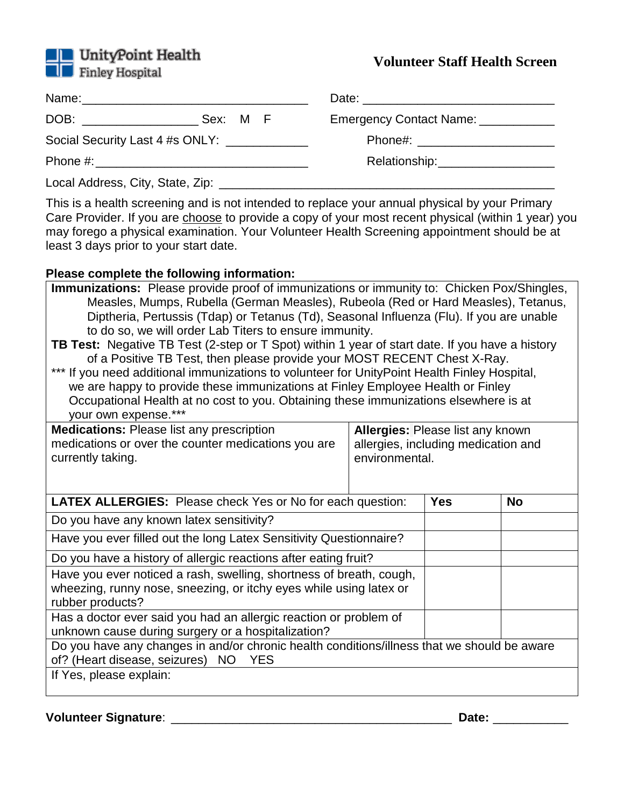

# **Volunteer Staff Health Screen**

| DOB: _________________ | Sex: M F                        | Emergency Contact Name: ____________ |  |
|------------------------|---------------------------------|--------------------------------------|--|
|                        | Social Security Last 4 #s ONLY: |                                      |  |
|                        |                                 | Relationship: _____________________  |  |
|                        |                                 |                                      |  |

This is a health screening and is not intended to replace your annual physical by your Primary Care Provider. If you are choose to provide a copy of your most recent physical (within 1 year) you may forego a physical examination. Your Volunteer Health Screening appointment should be at least 3 days prior to your start date.

## **Please complete the following information:**

| <b>Immunizations:</b> Please provide proof of immunizations or immunity to: Chicken Pox/Shingles,<br>Measles, Mumps, Rubella (German Measles), Rubeola (Red or Hard Measles), Tetanus,<br>Diptheria, Pertussis (Tdap) or Tetanus (Td), Seasonal Influenza (Flu). If you are unable<br>to do so, we will order Lab Titers to ensure immunity.<br>TB Test: Negative TB Test (2-step or T Spot) within 1 year of start date. If you have a history<br>of a Positive TB Test, then please provide your MOST RECENT Chest X-Ray.<br>*** If you need additional immunizations to volunteer for UnityPoint Health Finley Hospital,<br>we are happy to provide these immunizations at Finley Employee Health or Finley<br>Occupational Health at no cost to you. Obtaining these immunizations elsewhere is at<br>your own expense.*** |                                                                                           |  |           |  |
|--------------------------------------------------------------------------------------------------------------------------------------------------------------------------------------------------------------------------------------------------------------------------------------------------------------------------------------------------------------------------------------------------------------------------------------------------------------------------------------------------------------------------------------------------------------------------------------------------------------------------------------------------------------------------------------------------------------------------------------------------------------------------------------------------------------------------------|-------------------------------------------------------------------------------------------|--|-----------|--|
| <b>Medications:</b> Please list any prescription<br>medications or over the counter medications you are<br>currently taking.                                                                                                                                                                                                                                                                                                                                                                                                                                                                                                                                                                                                                                                                                                   | Allergies: Please list any known<br>allergies, including medication and<br>environmental. |  |           |  |
| <b>LATEX ALLERGIES:</b> Please check Yes or No for each question:                                                                                                                                                                                                                                                                                                                                                                                                                                                                                                                                                                                                                                                                                                                                                              |                                                                                           |  | <b>No</b> |  |
| Do you have any known latex sensitivity?                                                                                                                                                                                                                                                                                                                                                                                                                                                                                                                                                                                                                                                                                                                                                                                       |                                                                                           |  |           |  |
| Have you ever filled out the long Latex Sensitivity Questionnaire?                                                                                                                                                                                                                                                                                                                                                                                                                                                                                                                                                                                                                                                                                                                                                             |                                                                                           |  |           |  |
| Do you have a history of allergic reactions after eating fruit?                                                                                                                                                                                                                                                                                                                                                                                                                                                                                                                                                                                                                                                                                                                                                                |                                                                                           |  |           |  |
| Have you ever noticed a rash, swelling, shortness of breath, cough,<br>wheezing, runny nose, sneezing, or itchy eyes while using latex or<br>rubber products?                                                                                                                                                                                                                                                                                                                                                                                                                                                                                                                                                                                                                                                                  |                                                                                           |  |           |  |
| Has a doctor ever said you had an allergic reaction or problem of<br>unknown cause during surgery or a hospitalization?                                                                                                                                                                                                                                                                                                                                                                                                                                                                                                                                                                                                                                                                                                        |                                                                                           |  |           |  |
| Do you have any changes in and/or chronic health conditions/illness that we should be aware<br>of? (Heart disease, seizures) NO<br><b>YES</b>                                                                                                                                                                                                                                                                                                                                                                                                                                                                                                                                                                                                                                                                                  |                                                                                           |  |           |  |
| If Yes, please explain:                                                                                                                                                                                                                                                                                                                                                                                                                                                                                                                                                                                                                                                                                                                                                                                                        |                                                                                           |  |           |  |

**Volunteer Signature**: \_\_\_\_\_\_\_\_\_\_\_\_\_\_\_\_\_\_\_\_\_\_\_\_\_\_\_\_\_\_\_\_\_\_\_\_\_\_\_\_\_ **Date:** \_\_\_\_\_\_\_\_\_\_\_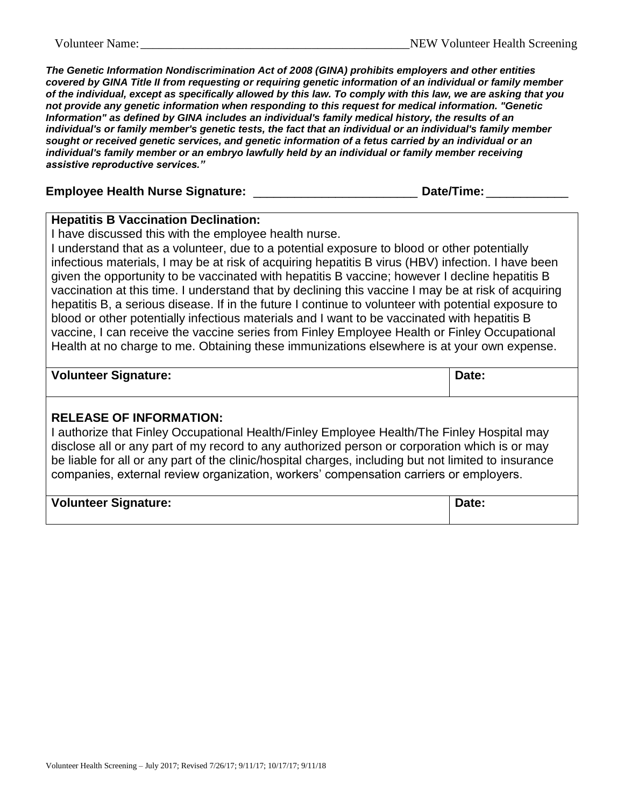*The Genetic Information Nondiscrimination Act of 2008 (GINA) prohibits employers and other entities covered by GINA Title II from requesting or requiring genetic information of an individual or family member of the individual, except as specifically allowed by this law. To comply with this law, we are asking that you not provide any genetic information when responding to this request for medical information. "Genetic Information" as defined by GINA includes an individual's family medical history, the results of an individual's or family member's genetic tests, the fact that an individual or an individual's family member sought or received genetic services, and genetic information of a fetus carried by an individual or an individual's family member or an embryo lawfully held by an individual or family member receiving assistive reproductive services."*

| <b>Employee Health Nurse Signature:</b> | Date/Time: |
|-----------------------------------------|------------|
|                                         |            |

#### **Hepatitis B Vaccination Declination:**

I have discussed this with the employee health nurse.

I understand that as a volunteer, due to a potential exposure to blood or other potentially infectious materials, I may be at risk of acquiring hepatitis B virus (HBV) infection. I have been given the opportunity to be vaccinated with hepatitis B vaccine; however I decline hepatitis B vaccination at this time. I understand that by declining this vaccine I may be at risk of acquiring hepatitis B, a serious disease. If in the future I continue to volunteer with potential exposure to blood or other potentially infectious materials and I want to be vaccinated with hepatitis B vaccine, I can receive the vaccine series from Finley Employee Health or Finley Occupational Health at no charge to me. Obtaining these immunizations elsewhere is at your own expense.

### **Volunteer Signature: Date: Date: Date: Date: Date: Date: Date: Date: Date: Date: Date: Date: Date: Date: Date: Date: Date: Date: Date: Date: Date: Date: Date: Date: Date:**

#### **RELEASE OF INFORMATION:**

I authorize that Finley Occupational Health/Finley Employee Health/The Finley Hospital may disclose all or any part of my record to any authorized person or corporation which is or may be liable for all or any part of the clinic/hospital charges, including but not limited to insurance companies, external review organization, workers' compensation carriers or employers.

| <b>Volunteer Signature:</b> | Date: |
|-----------------------------|-------|
|                             |       |